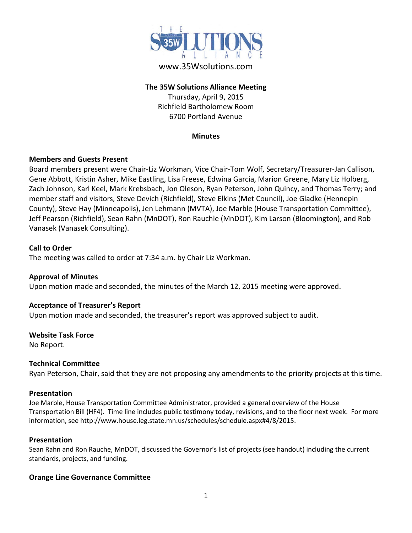

# www.35Wsolutions.com

## **The 35W Solutions Alliance Meeting**

Thursday, April 9, 2015 Richfield Bartholomew Room 6700 Portland Avenue

#### **Minutes**

### **Members and Guests Present**

Board members present were Chair-Liz Workman, Vice Chair-Tom Wolf, Secretary/Treasurer-Jan Callison, Gene Abbott, Kristin Asher, Mike Eastling, Lisa Freese, Edwina Garcia, Marion Greene, Mary Liz Holberg, Zach Johnson, Karl Keel, Mark Krebsbach, Jon Oleson, Ryan Peterson, John Quincy, and Thomas Terry; and member staff and visitors, Steve Devich (Richfield), Steve Elkins (Met Council), Joe Gladke (Hennepin County), Steve Hay (Minneapolis), Jen Lehmann (MVTA), Joe Marble (House Transportation Committee), Jeff Pearson (Richfield), Sean Rahn (MnDOT), Ron Rauchle (MnDOT), Kim Larson (Bloomington), and Rob Vanasek (Vanasek Consulting).

### **Call to Order**

The meeting was called to order at 7:34 a.m. by Chair Liz Workman.

# **Approval of Minutes**

Upon motion made and seconded, the minutes of the March 12, 2015 meeting were approved.

### **Acceptance of Treasurer's Report**

Upon motion made and seconded, the treasurer's report was approved subject to audit.

### **Website Task Force**

No Report.

### **Technical Committee**

Ryan Peterson, Chair, said that they are not proposing any amendments to the priority projects at this time.

### **Presentation**

Joe Marble, House Transportation Committee Administrator, provided a general overview of the House Transportation Bill (HF4). Time line includes public testimony today, revisions, and to the floor next week. For more information, see [http://www.house.leg.state.mn.us/schedules/schedule.aspx#4/8/2015.](http://www.house.leg.state.mn.us/schedules/schedule.aspx#4/8/2015)

### **Presentation**

Sean Rahn and Ron Rauche, MnDOT, discussed the Governor's list of projects (see handout) including the current standards, projects, and funding.

### **Orange Line Governance Committee**